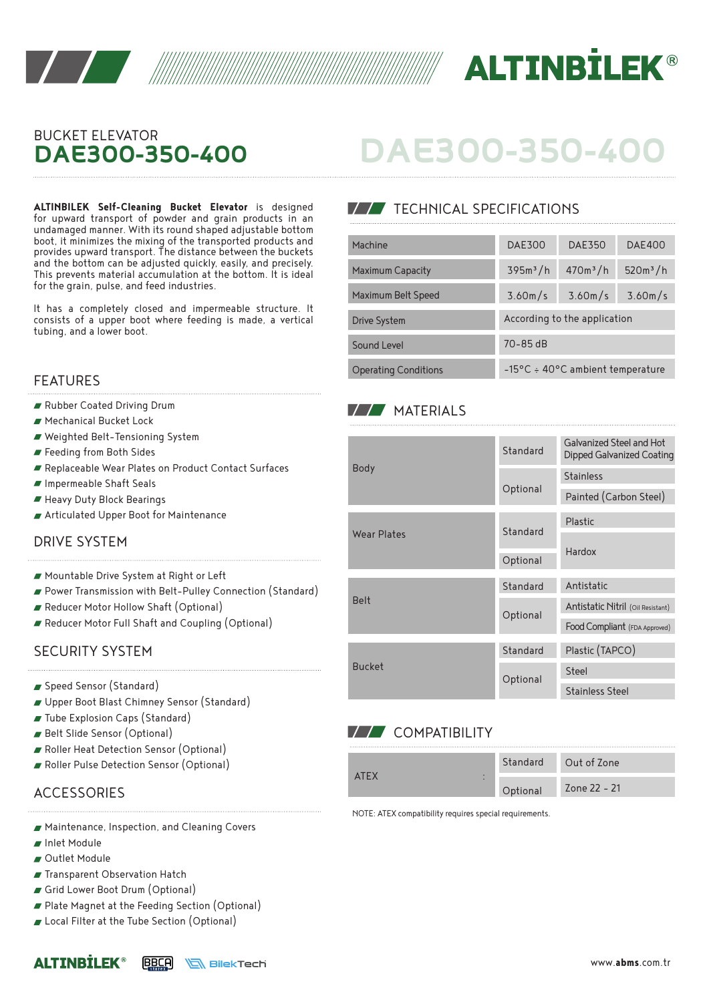



## BUCKET ELEVATOR **DAE300-350-400**

**ALTINBILEK Self-Cleaning Bucket Elevator** is designed for upward transport of powder and grain products in an undamaged manner. With its round shaped adjustable bottom boot, it minimizes the mixing of the transported products and provides upward transport. The distance between the buckets and the bottom can be adjusted quickly, easily, and precisely. This prevents material accumulation at the bottom. It is ideal for the grain, pulse, and feed industries.

It has a completely closed and impermeable structure. It consists of a upper boot where feeding is made, a vertical tubing, and a lower boot.

#### FEATURES

- Rubber Coated Driving Drum
- Mechanical Bucket Lock
- Weighted Belt-Tensioning System
- Feeding from Both Sides
- Replaceable Wear Plates on Product Contact Surfaces
- Impermeable Shaft Seals
- Heavy Duty Block Bearings
- Articulated Upper Boot for Maintenance

#### DRIVE SYSTEM

- Mountable Drive System at Right or Left
- Power Transmission with Belt-Pulley Connection (Standard)
- Reducer Motor Hollow Shaft (Optional)
- Reducer Motor Full Shaft and Coupling (Optional)

#### SECURITY SYSTEM

- Speed Sensor (Standard)
- Upper Boot Blast Chimney Sensor (Standard)
- Tube Explosion Caps (Standard)
- Belt Slide Sensor (Optional)
- Roller Heat Detection Sensor (Optional)
- Roller Pulse Detection Sensor (Optional)

## **ACCESSORIES**

- Maintenance, Inspection, and Cleaning Covers
- Inlet Module
- Outlet Module

**ALTINRTLFK®** 

- **Transparent Observation Hatch**
- Grid Lower Boot Drum (Optional)
- Plate Magnet at the Feeding Section (Optional)
- Local Filter at the Tube Section (Optional)

# **DAE300-350-400**

## **TECHNICAL SPECIFICATIONS**

| Machine                     | <b>DAE300</b>                              | <b>DAE350</b>        | <b>DAE400</b> |  |  |
|-----------------------------|--------------------------------------------|----------------------|---------------|--|--|
| <b>Maximum Capacity</b>     | 395m <sup>3</sup> /h                       | 470m <sup>3</sup> /h | $520m^3/h$    |  |  |
| Maximum Belt Speed          | 3.60m/s                                    | 3.60m/s              | 3.60m/s       |  |  |
| Drive System                | According to the application               |                      |               |  |  |
| Sound Level                 | $70 - 85$ dB                               |                      |               |  |  |
| <b>Operating Conditions</b> | $-15^{\circ}$ C ÷ 40°C ambient temperature |                      |               |  |  |

### **MATERIALS**

| <b>Body</b>   | Standard | Galvanized Steel and Hot<br>Dipped Galvanized Coating |  |
|---------------|----------|-------------------------------------------------------|--|
|               | Optional | <b>Stainless</b>                                      |  |
|               |          | Painted (Carbon Steel)                                |  |
| Wear Plates   | Standard | Plastic                                               |  |
|               |          | Hardox                                                |  |
|               | Optional |                                                       |  |
| <b>Belt</b>   | Standard | Antistatic                                            |  |
|               | Optional | Antistatic Nitril (Oil Resistant)                     |  |
|               |          | Food Compliant (FDA Approved)                         |  |
| <b>Bucket</b> | Standard | Plastic (TAPCO)                                       |  |
|               | Optional | Steel                                                 |  |
|               |          | <b>Stainless Steel</b>                                |  |

## **V/V** COMPATIBILITY

|       | Standard | Out of Zone  |
|-------|----------|--------------|
| ATF X | Optional | Zone 22 - 21 |

NOTE: ATEX compatibility requires special requirements.